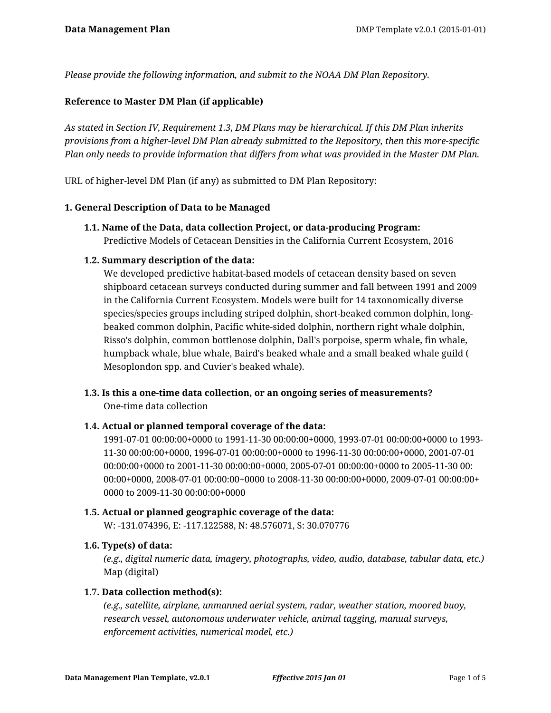*Please provide the following information, and submit to the NOAA DM Plan Repository.*

## **Reference to Master DM Plan (if applicable)**

*As stated in Section IV, Requirement 1.3, DM Plans may be hierarchical. If this DM Plan inherits provisions from a higher-level DM Plan already submitted to the Repository, then this more-specific Plan only needs to provide information that differs from what was provided in the Master DM Plan.*

URL of higher-level DM Plan (if any) as submitted to DM Plan Repository:

#### **1. General Description of Data to be Managed**

**1.1. Name of the Data, data collection Project, or data-producing Program:** Predictive Models of Cetacean Densities in the California Current Ecosystem, 2016

## **1.2. Summary description of the data:**

We developed predictive habitat-based models of cetacean density based on seven shipboard cetacean surveys conducted during summer and fall between 1991 and 2009 in the California Current Ecosystem. Models were built for 14 taxonomically diverse species/species groups including striped dolphin, short-beaked common dolphin, longbeaked common dolphin, Pacific white-sided dolphin, northern right whale dolphin, Risso's dolphin, common bottlenose dolphin, Dall's porpoise, sperm whale, fin whale, humpback whale, blue whale, Baird's beaked whale and a small beaked whale guild ( Mesoplondon spp. and Cuvier's beaked whale).

## **1.3. Is this a one-time data collection, or an ongoing series of measurements?** One-time data collection

## **1.4. Actual or planned temporal coverage of the data:**

1991-07-01 00:00:00+0000 to 1991-11-30 00:00:00+0000, 1993-07-01 00:00:00+0000 to 1993- 11-30 00:00:00+0000, 1996-07-01 00:00:00+0000 to 1996-11-30 00:00:00+0000, 2001-07-01 00:00:00+0000 to 2001-11-30 00:00:00+0000, 2005-07-01 00:00:00+0000 to 2005-11-30 00: 00:00+0000, 2008-07-01 00:00:00+0000 to 2008-11-30 00:00:00+0000, 2009-07-01 00:00:00+ 0000 to 2009-11-30 00:00:00+0000

#### **1.5. Actual or planned geographic coverage of the data:**

W: -131.074396, E: -117.122588, N: 48.576071, S: 30.070776

#### **1.6. Type(s) of data:**

*(e.g., digital numeric data, imagery, photographs, video, audio, database, tabular data, etc.)* Map (digital)

#### **1.7. Data collection method(s):**

*(e.g., satellite, airplane, unmanned aerial system, radar, weather station, moored buoy, research vessel, autonomous underwater vehicle, animal tagging, manual surveys, enforcement activities, numerical model, etc.)*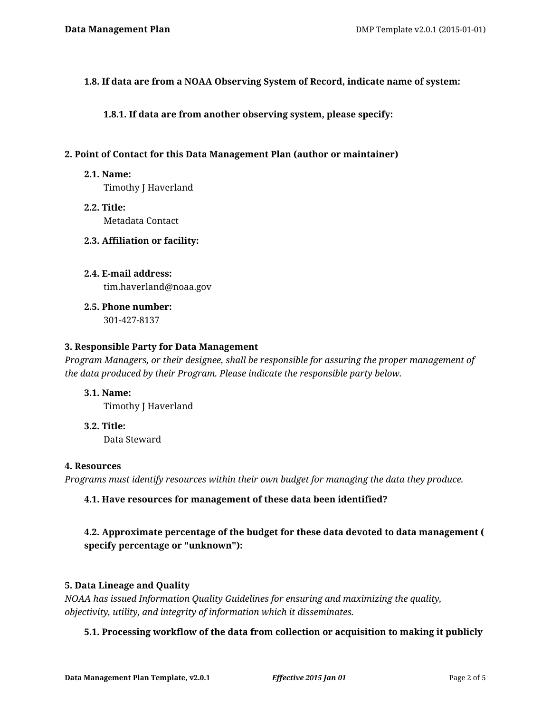## **1.8. If data are from a NOAA Observing System of Record, indicate name of system:**

### **1.8.1. If data are from another observing system, please specify:**

### **2. Point of Contact for this Data Management Plan (author or maintainer)**

#### **2.1. Name:**

Timothy J Haverland

- **2.2. Title:** Metadata Contact
- **2.3. Affiliation or facility:**
- **2.4. E-mail address:** tim.haverland@noaa.gov
- **2.5. Phone number:** 301-427-8137

### **3. Responsible Party for Data Management**

*Program Managers, or their designee, shall be responsible for assuring the proper management of the data produced by their Program. Please indicate the responsible party below.*

#### **3.1. Name:**

Timothy J Haverland

**3.2. Title:** Data Steward

#### **4. Resources**

*Programs must identify resources within their own budget for managing the data they produce.*

#### **4.1. Have resources for management of these data been identified?**

# **4.2. Approximate percentage of the budget for these data devoted to data management ( specify percentage or "unknown"):**

#### **5. Data Lineage and Quality**

*NOAA has issued Information Quality Guidelines for ensuring and maximizing the quality, objectivity, utility, and integrity of information which it disseminates.*

## **5.1. Processing workflow of the data from collection or acquisition to making it publicly**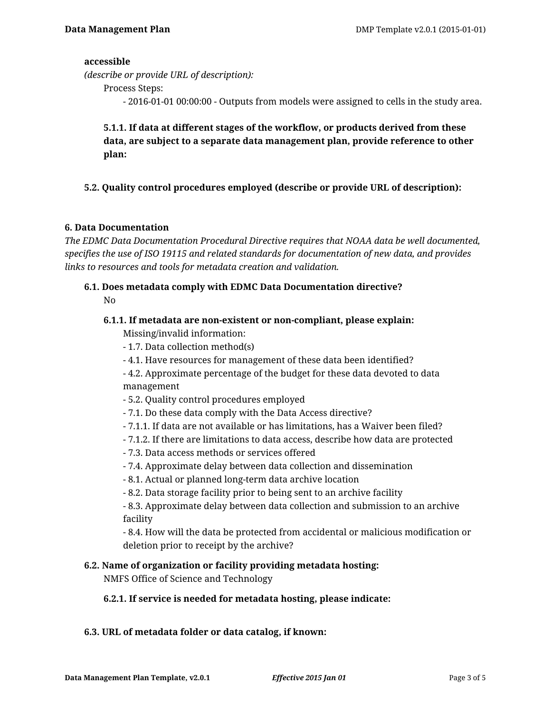#### **accessible**

*(describe or provide URL of description):*

Process Steps:

- 2016-01-01 00:00:00 - Outputs from models were assigned to cells in the study area.

**5.1.1. If data at different stages of the workflow, or products derived from these data, are subject to a separate data management plan, provide reference to other plan:**

### **5.2. Quality control procedures employed (describe or provide URL of description):**

#### **6. Data Documentation**

*The EDMC Data Documentation Procedural Directive requires that NOAA data be well documented, specifies the use of ISO 19115 and related standards for documentation of new data, and provides links to resources and tools for metadata creation and validation.*

## **6.1. Does metadata comply with EDMC Data Documentation directive?** No

#### **6.1.1. If metadata are non-existent or non-compliant, please explain:**

Missing/invalid information:

- 1.7. Data collection method(s)
- 4.1. Have resources for management of these data been identified?

- 4.2. Approximate percentage of the budget for these data devoted to data management

- 5.2. Quality control procedures employed
- 7.1. Do these data comply with the Data Access directive?
- 7.1.1. If data are not available or has limitations, has a Waiver been filed?
- 7.1.2. If there are limitations to data access, describe how data are protected
- 7.3. Data access methods or services offered
- 7.4. Approximate delay between data collection and dissemination
- 8.1. Actual or planned long-term data archive location
- 8.2. Data storage facility prior to being sent to an archive facility

- 8.3. Approximate delay between data collection and submission to an archive facility

- 8.4. How will the data be protected from accidental or malicious modification or deletion prior to receipt by the archive?

#### **6.2. Name of organization or facility providing metadata hosting:**

NMFS Office of Science and Technology

#### **6.2.1. If service is needed for metadata hosting, please indicate:**

#### **6.3. URL of metadata folder or data catalog, if known:**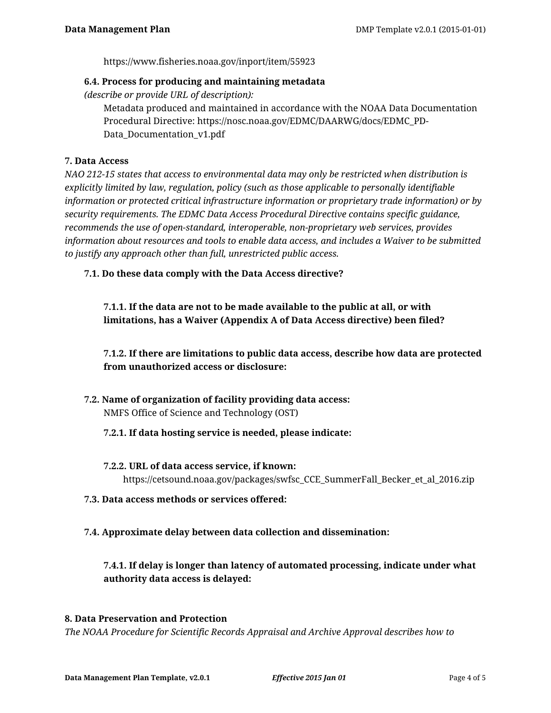https://www.fisheries.noaa.gov/inport/item/55923

## **6.4. Process for producing and maintaining metadata**

*(describe or provide URL of description):*

Metadata produced and maintained in accordance with the NOAA Data Documentation Procedural Directive: https://nosc.noaa.gov/EDMC/DAARWG/docs/EDMC\_PD-Data Documentation v1.pdf

## **7. Data Access**

*NAO 212-15 states that access to environmental data may only be restricted when distribution is explicitly limited by law, regulation, policy (such as those applicable to personally identifiable information or protected critical infrastructure information or proprietary trade information) or by security requirements. The EDMC Data Access Procedural Directive contains specific guidance, recommends the use of open-standard, interoperable, non-proprietary web services, provides information about resources and tools to enable data access, and includes a Waiver to be submitted to justify any approach other than full, unrestricted public access.*

**7.1. Do these data comply with the Data Access directive?**

**7.1.1. If the data are not to be made available to the public at all, or with limitations, has a Waiver (Appendix A of Data Access directive) been filed?**

**7.1.2. If there are limitations to public data access, describe how data are protected from unauthorized access or disclosure:**

**7.2. Name of organization of facility providing data access:** NMFS Office of Science and Technology (OST)

## **7.2.1. If data hosting service is needed, please indicate:**

- **7.2.2. URL of data access service, if known:** https://cetsound.noaa.gov/packages/swfsc\_CCE\_SummerFall\_Becker\_et\_al\_2016.zip
- **7.3. Data access methods or services offered:**
- **7.4. Approximate delay between data collection and dissemination:**

**7.4.1. If delay is longer than latency of automated processing, indicate under what authority data access is delayed:**

## **8. Data Preservation and Protection**

*The NOAA Procedure for Scientific Records Appraisal and Archive Approval describes how to*